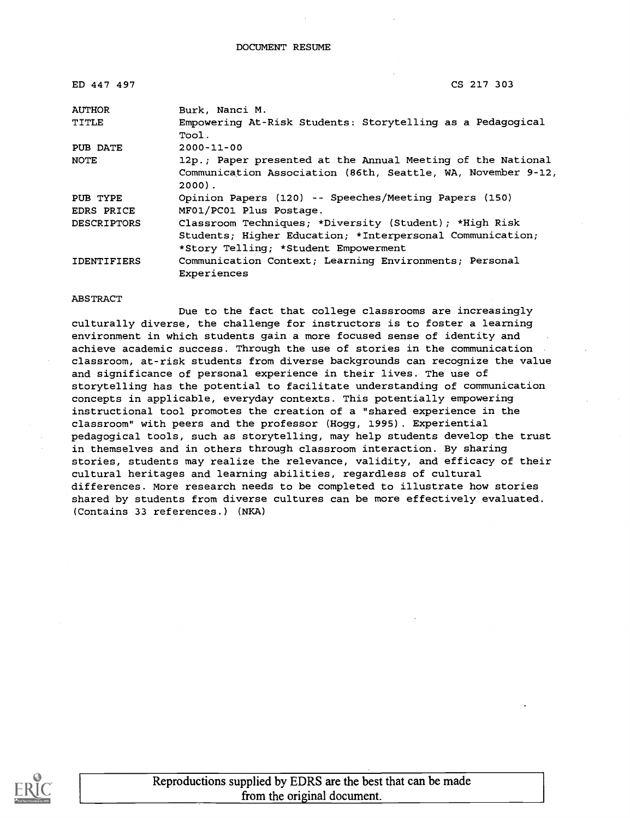| ED 447 497         | CS 217 303                                                               |
|--------------------|--------------------------------------------------------------------------|
| <b>AUTHOR</b>      | Burk, Nanci M.                                                           |
| TITLE              | Empowering At-Risk Students: Storytelling as a Pedagogical<br>Tool.      |
| PUB DATE           | $2000 - 11 - 00$                                                         |
| <b>NOTE</b>        | 12p.; Paper presented at the Annual Meeting of the National              |
|                    | Communication Association (86th, Seattle, WA, November 9-12,<br>$2000$ . |
| PUB TYPE           | Opinion Papers (120) -- Speeches/Meeting Papers (150)                    |
| EDRS PRICE         | MF01/PC01 Plus Postage.                                                  |
| <b>DESCRIPTORS</b> | Classroom Techniques; *Diversity (Student); *High Risk                   |
|                    | Students; Higher Education; *Interpersonal Communication;                |
|                    | *Story Telling; *Student Empowerment                                     |
| <b>IDENTIFIERS</b> | Communication Context; Learning Environments; Personal<br>Experiences    |

#### ABSTRACT

Due to the fact that college classrooms are increasingly culturally diverse, the challenge for instructors is to foster a learning environment in which students gain a more focused sense of identity and achieve academic success. Through the use of stories in the communication classroom, at-risk students from diverse backgrounds can recognize the value and significance of personal experience in their lives. The use of storytelling has the potential to facilitate understanding of communication concepts in applicable, everyday contexts. This potentially empowering instructional tool promotes the creation of a "shared experience in the classroom" with peers and the professor (Hogg, 1995). Experiential pedagogical tools, such as storytelling, may help students develop the trust in themselves and in others through classroom interaction. By sharing stories, students may realize the relevance, validity, and efficacy of their cultural heritages and learning abilities, regardless of cultural differences. More research needs to be completed to illustrate how stories shared by students from diverse cultures can be more effectively evaluated. (Contains 33 references.) (NKA)

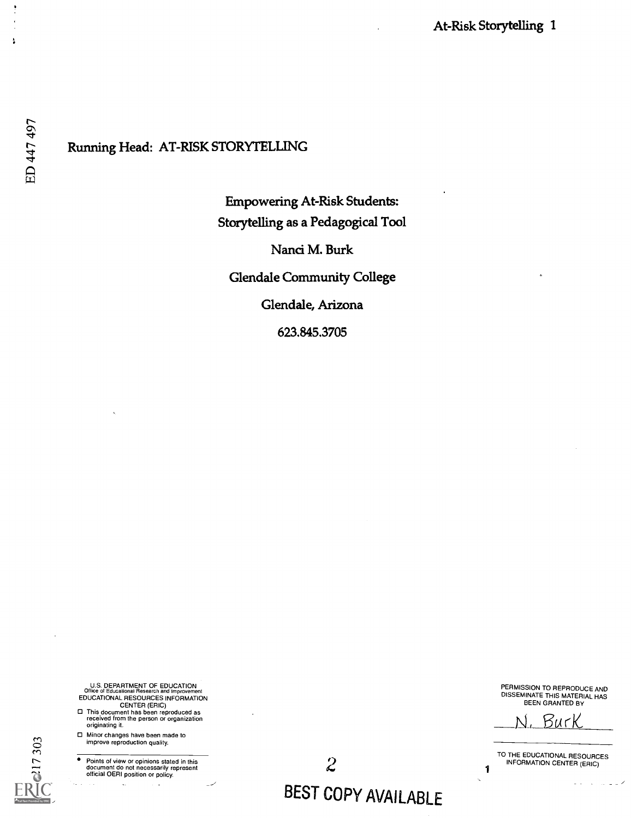#### Running Head: AT-RISK STORYTELLING

Empowering At-Risk Students: Storytelling as a Pedagogical Tool

Nanci M. Burk

Glendale Community College

Glendale, Arizona

623.845.3705

- U.S. DEPARTMENT OF EDUCATION Office of Educational Research and Improvement
- EDUCATIONAL RESOURCES INFORMATION CENTER (ERIC) This document has been reproduced as received from the person or organization originating it.
- Minor changes have been made to O M improve reproduction quality.

 $\ddot{\phantom{a}}$ 

**F** Points of view or opinions stated in this<br>document do not necessarily represent<br>official OERI position or policy.

 $\ddot{\phantom{a}}$ 

PERMISSION TO REPRODUCE AND DISSEMINATE THIS MATERIAL HAS BEEN GRANTED BY

Bur

TO THE EDUCATIONAL RESOURCES INFORMATION CENTER (ERIC)

1

Ä

ED 447 497

# BEST COPY AVAILABLE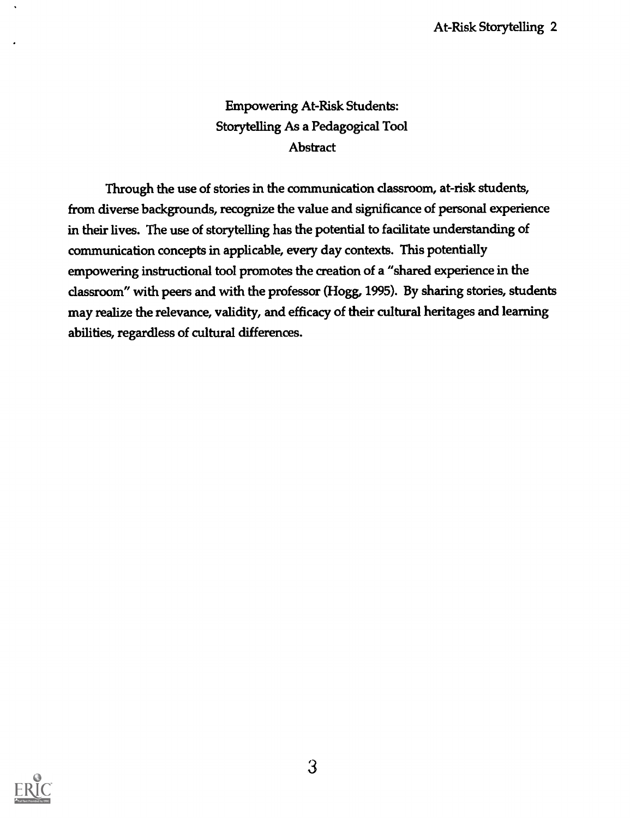## Empowering At-Risk Students: Storytelling As a Pedagogical Tool **Abstract**

Through the use of stories in the communication classroom, at-risk students, from diverse backgrounds, recognize the value and significance of personal experience in their lives. The use of storytelling has the potential to facilitate understanding of communication concepts in applicable, every day contexts. This potentially empowering instructional tool promotes the creation of a "shared experience in the classroom" with peers and with the professor (Hogg, 1995). By sharing stories, students may realize the relevance, validity, and efficacy of their cultural heritages and learning abilities, regardless of cultural differences.

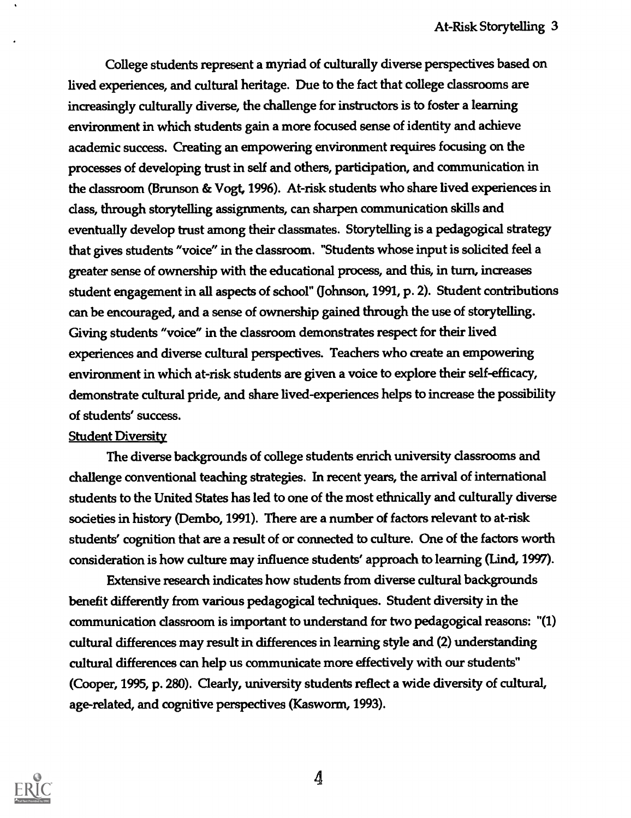College students represent a myriad of culturally diverse perspectives based on lived experiences, and cultural heritage. Due to the fact that college classrooms are increasingly culturally diverse, the challenge for instructors is to foster a learning environment in which students gain a more focused sense of identity and achieve academic success. Creating an empowering environment requires focusing on the processes of developing trust in self and others, participation, and communication in the classroom (Brunson & Vogt, 1996). At-risk students who share lived experiences in class, through storytelling assignments, can sharpen communication skills and eventually develop trust among their classmates. Storytelling is a pedagogical strategy that gives students "voice" in the classroom. "Students whose input is solicited feel a greater sense of ownership with the educational process, and this, in turn, increases student engagement in all aspects of school" (Johnson, 1991, p. 2). Student contributions can be encouraged, and a sense of ownership gained through the use of storytelling Giving students "voice" in the classroom demonstrates respect for their lived experiences and diverse cultural perspectives. Teachers who create an empowering environment in which at-risk students are given a voice to explore their self-efficacy, demonstrate cultural pride, and share lived-experiences helps to increase the possibility of students' success.

#### Student Diversity

The diverse backgrounds of college students enrich university classrooms and challenge conventional teaching strategies. In recent years, the arrival of international students to the United States has led to one of the most ethnically and culturally diverse societies in history (Dembo, 1991). There are a number of factors relevant to at-risk students' cognition that are a result of or connected to culture. One of the factors worth consideration is how culture may influence students' approach to learning (Lind, 1997).

Extensive research indicates how students from diverse cultural backgrounds benefit differently from various pedagogical techniques. Student diversity in the communication classroom is important to understand for two pedagogical reasons: "(1) cultural differences may result in differences in learning style and (2) understanding cultural differences can help us communicate more effectively with our students" (Cooper, 1995, p. 280). Clearly, university students reflect a wide diversity of cultural, age-related, and cognitive perspectives (Kasworm, 1993).

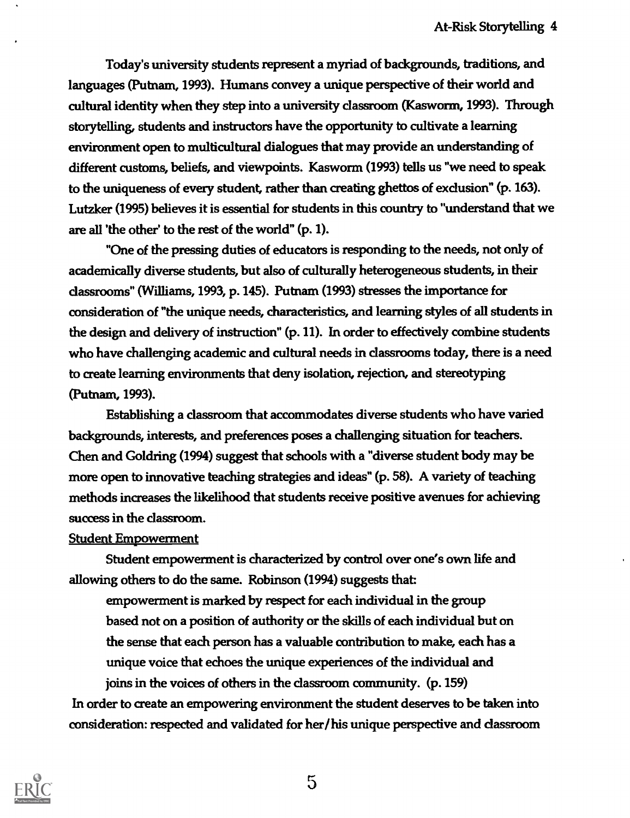Today's university students represent a myriad of backgrounds, traditions, and languages (Putnam, 1993). Humans convey a unique perspective of their world and cultural identity when they step into a university classroom (Kasworm, 1993). Through storytelling, students and instructors have the opportunity to cultivate a learning environment open to multicultural dialogues that may provide an understanding of different customs, beliefs, and viewpoints. Kasworm (1993) tells us "we need to speak to the uniqueness of every student, rather than creating ghettos of exclusion" (p. 163). Lutzker (1995) believes it is essential for students in this country to "understand that we are all 'the other' to the rest of the world" (p. 1).

"One of the pressing duties of educators is responding to the needs, not only of academically diverse students, but also of culturally heterogeneous students, in their classrooms" (Williams, 1993, p. 145). Putnam (1993) stresses the importance for consideration of "the unique needs, characteristics, and learning styles of all students in the design and delivery of instruction" (p. 11). In order to effectively combine students who have challenging academic and cultural needs in classrooms today, there is a need to create learning environments that deny isolation, rejection, and stereotyping (Putnam, 1993).

Establishing a classroom that accommodates diverse students who have varied backgrounds, interests, and preferences poses a challenging situation for teachers. Chen and Goldring (1994) suggest that schools with a "diverse student body may be more open to innovative teaching strategies and ideas" (p. 58). A variety of teaching methods increases the likelihood that students receive positive avenues for achieving success in the classroom.

#### Student Empowerment

Student empowerment is characterized by control over one's own life and allowing others to do the same. Robinson (1994) suggests that

empowerment is marked by respect for each individual in the group based not on a position of authority or the skills of each individual but on the sense that each person has a valuable contribution to make, each has a unique voice that echoes the unique experiences of the individual and joins in the voices of others in the classroom community. (p. 159) In order to create an empowering environment the student deserves to be taken into

consideration: respected and validated for her/his unique perspective and classroom

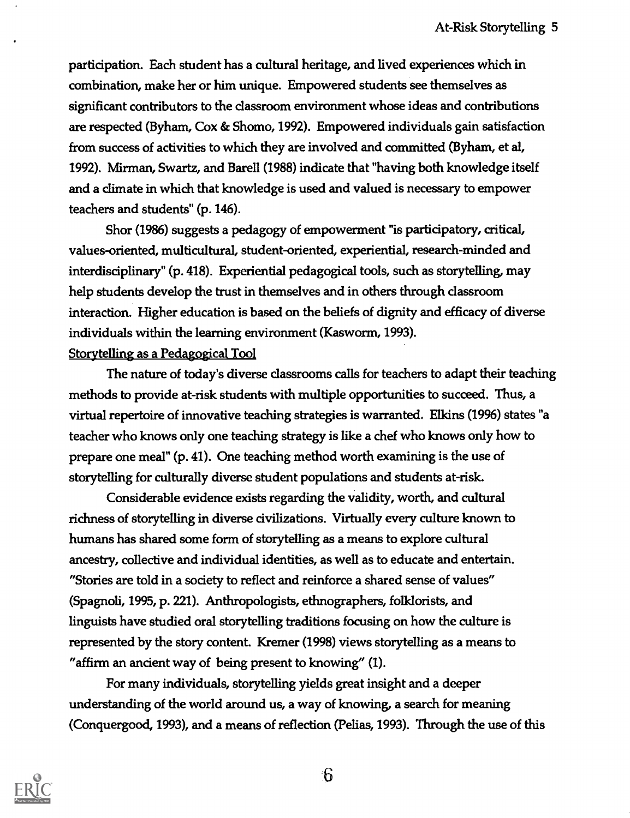participation. Each student has a cultural heritage, and lived experiences which in combination, make her or him unique. Empowered students see themselves as significant contributors to the classroom environment whose ideas and contributions are respected (Byham, Cox & Shomo, 1992). Empowered individuals gain satisfaction from success of activities to which they are involved and committed (Byham, et al, 1992). Mirman, Swartz, and Barell (1988) indicate that "having both knowledge itself and a climate in which that knowledge is used and valued is necessary to empower teachers and students" (p. 146).

Shor (1986) suggests a pedagogy of empowerment "is participatory, critical, values-oriented, multicultural, student-oriented, experiential, research-minded and interdisciplinary" (p. 418). Experiential pedagogical tools, such as storytelling, may help students develop the trust in themselves and in others through classroom interaction. Higher education is based on the beliefs of dignity and efficacy of diverse individuals within the learning environment (Kasworm, 1993). Storytelling as a Pedagogical Tool

The nature of today's diverse classrooms calls for teachers to adapt their teaching methods to provide at-risk students with multiple opportunities to succeed. Thus, a virtual repertoire of innovative teaching strategies is warranted. Elkins (1996) states "a teacher who knows only one teaching strategy is like a chef who knows only how to prepare one meal" (p. 41). One teaching method worth examining is the use of storytelling for culturally diverse student populations and students at-risk.

Considerable evidence exists regarding the validity, worth, and cultural richness of storytelling in diverse civilizations. Virtually every culture known to humans has shared some form of storytelling as a means to explore cultural ancestry, collective and individual identities, as well as to educate and entertain. "Stories are told in a society to reflect and reinforce a shared sense of values" (Spagnoli, 1995, p. 221). Anthropologists, ethnographers, folklorists, and linguists have studied oral storytelling traditions focusing on how the culture is represented by the story content. Kremer (1998) views storytelling as a means to "affirm an ancient way of being present to knowing" (1).

For many individuals, storytelling yields great insight and a deeper understanding of the world around us, a way of knowing, a search for meaning (Conquergood, 1993), and a means of reflection (Pelias, 1993). Through the use of this



 $6\overline{6}$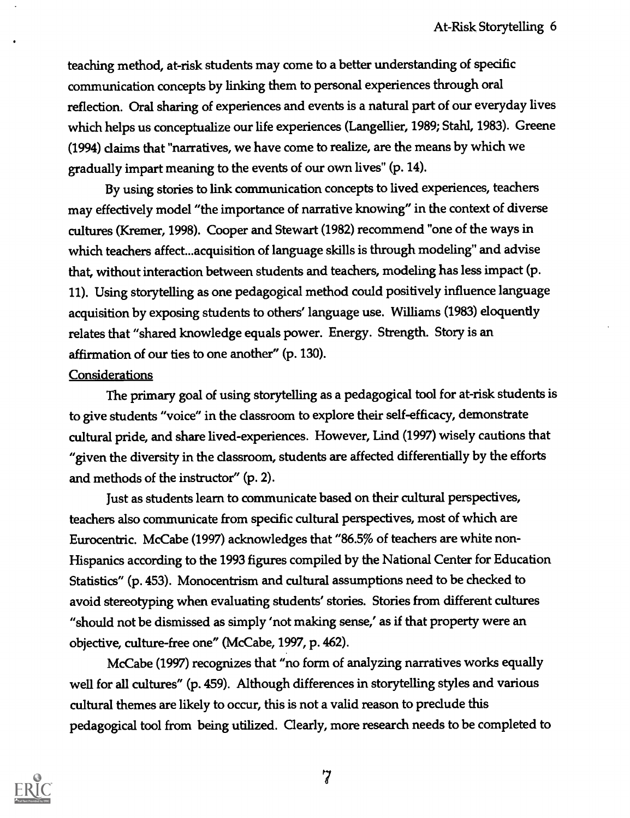teaching method, at-risk students may come to a better understanding of specific communication concepts by linking them to personal experiences through oral reflection. Oral sharing of experiences and events is a natural part of our everyday lives which helps us conceptualize our life experiences (Langellier, 1989; Stahl, 1983). Greene (1994) claims that "narratives, we have come to realize, are the means by which we gradually impart meaning to the events of our own lives" (p. 14).

By using stories to link communication concepts to lived experiences, teachers may effectively model "the importance of narrative knowing" in the context of diverse cultures (Kremer, 1998). Cooper and Stewart (1982) recommend "one of the ways in which teachers affect...acquisition of language skills is through modeling" and advise that, without interaction between students and teachers, modeling has less impact (p. 11). Using storytelling as one pedagogical method could positively influence language acquisition by exposing students to others' language use. Williams (1983) eloquently relates that "shared knowledge equals power. Energy. Strength. Story is an affirmation of our ties to one another" (p. 130).

#### **Considerations**

The primary goal of using storytelling as a pedagogical tool for at-risk students is to give students "voice" in the classroom to explore their self-efficacy, demonstrate cultural pride, and share lived-experiences. However, Lind (1997) wisely cautions that "given the diversity in the dassroom, students are affected differentially by the efforts and methods of the instructor" (p. 2).

Just as students learn to communicate based on their cultural perspectives, teachers also communicate from specific cultural perspectives, most of which are Eurocentric. McCabe (1997) acknowledges that "86.5% of teachers are white non-Hispanics according to the 1993 figures compiled by the National Center for Education Statistics" (p. 453). Monocentrism and cultural assumptions need to be checked to avoid stereotyping when evaluating students' stories. Stories from different cultures "should not be dismissed as simply 'not making sense,' as if that property were an objective, culture-free one" (McCabe, 1997, p. 462).

McCabe (1997) recognizes that "no form of analyzing narratives works equally well for all cultures" (p. 459). Although differences in storytelling styles and various cultural themes are likely to occur, this is not a valid reason to predude this pedagogical tool from being utilized. Clearly, more research needs to be completed to

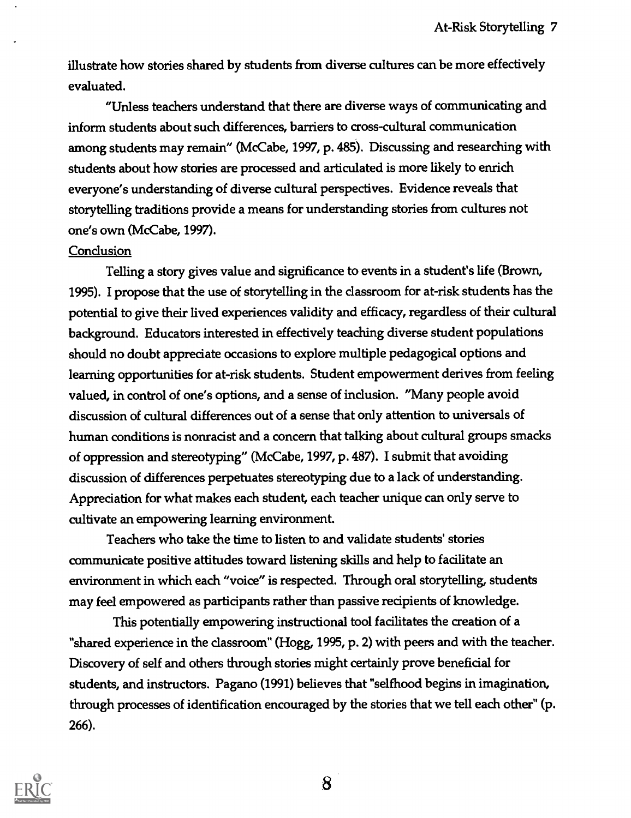illustrate how stories shared by students from diverse cultures can be more effectively evaluated.

"Unless teachers understand that there are diverse ways of communicating and inform students about such differences, barriers to cross-cultural communication among students may remain" (McCabe, 1997, p. 485). Discussing and researching with students about how stories are processed and articulated is more likely to enrich everyone's understanding of diverse cultural perspectives. Evidence reveals that storytelling traditions provide a means for understanding stories from cultures not one's own (McCabe, 1997).

#### **Conclusion**

Telling a story gives value and significance to events in a student's life (Brown, 1995). I propose that the use of storytelling in the classroom for at-risk students has the potential to give their lived experiences validity and efficacy, regardless of their cultural background. Educators interested in effectively teaching diverse student populations should no doubt appreciate occasions to explore multiple pedagogical options and learning opportunities for at-risk students. Student empowerment derives from feeling valued, in control of one's options, and a sense of inclusion. "Many people avoid discussion of cultural differences out of a sense that only attention to universals of human conditions is nonracist and a concern that talking about cultural groups smacks of oppression and stereotyping" (McCabe, 1997, p. 487). I submit that avoiding discussion of differences perpetuates stereotyping due to a lack of understanding. Appreciation for what makes each student, each teacher unique can only serve to cultivate an empowering learning environment.

Teachers who take the time to listen to and validate students' stories communicate positive attitudes toward listening skills and help to facilitate an environment in which each "voice" is respected. Through oral storytelling, students may feel empowered as participants rather than passive recipients of knowledge.

This potentially empowering instructional tool facilitates the creation of a "shared experience in the dassroom" (Hogg, 1995, p. 2) with peers and with the teacher. Discovery of self and others through stories might certainly prove beneficial for students, and instructors. Pagano (1991) believes that "selfhood begins in imagination, through processes of identification encouraged by the stories that we tell each other" (p. 266).

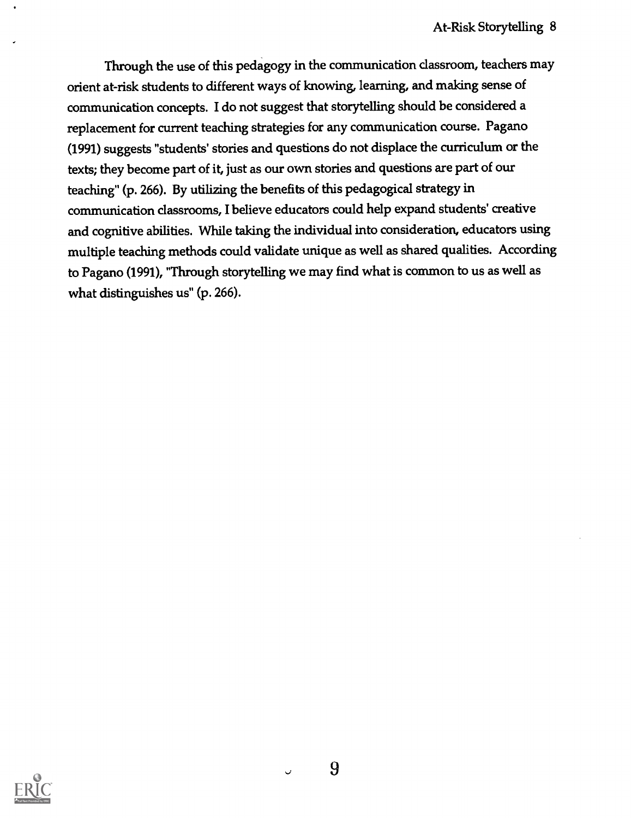Through the use of this pedagogy in the communication classroom, teachers may orient at-risk students to different ways of knowing, learning, and making sense of communication concepts. I do not suggest that storytelling should be considered a replacement for current teaching strategies for any communication course. Pagano (1991) suggests "students' stories and questions do not displace the curriculum or the texts; they become part of it, just as our own stories and questions are part of our teaching" (p. 266). By utilizing the benefits of this pedagogical strategy in communication classrooms, I believe educators could help expand students' creative and cognitive abilities. While taking the individual into consideration, educators using multiple teaching methods could validate unique as well as shared qualities. According to Pagano (1991), "Through storytelling we may find what is common to us as well as what distinguishes us" (p. 266).

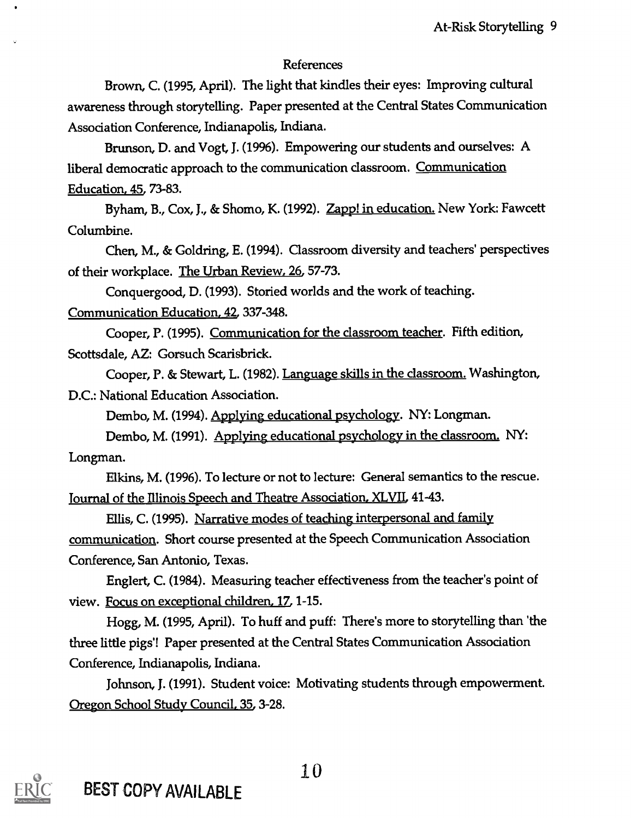### References

Brown, C. (1995, April). The light that kindles their eyes: Improving cultural awareness through storytelling. Paper presented at the Central States Communication Association Conference, Indianapolis, Indiana.

Brunson, D. and Vogt, J. (19%). Empowering our students and ourselves: A liberal democratic approach to the communication classroom. Communication Education, 45, 73-83.

Byham, B., Cox, J., & Shomo, K. (1992). Zapp! in education. New York: Fawcett Columbine.

Chen, M., & Goldring, E. (1994). Classroom diversity and teachers' perspectives of their workplace. The Urban Review, 26, 57-73.

Conquergood, D. (1993). Storied worlds and the work of teaching. Communication Education, 42, 337-348.

Cooper, P. (1995). Communication for the dassroom teacher. Fifth edition, Scottsdale, AZ: Gorsuch Scarisbrick.

Cooper, P. & Stewart, L. (1982). Language skills in the classroom. Washington, D.C.: National Education Association.

Dembo, M. (1994). Applying educational psychology. NY: Longman.

Dembo, M. (1991). Applying educational psychology in the dassroom. NY: Longman.

Elkins, M. (1996). To lecture or not to lecture: General semantics to the rescue. Journal of the Illinois Speech and Theatre Association, XLVII, 41-43.

Ellis, C. (1995). Narrative modes of teaching interpersonal and family communication. Short course presented at the Speech Communication Association Conference, San Antonio, Texas.

Englert, C. (1984). Measuring teacher effectiveness from the teacher's point of view. Focus on exceptional children, 17, 1-15.

Hogg, M. (1995, April). To huff and puff: There's more to storytelling than 'the three little pigs'! Paper presented at the Central States Communication Association Conference, Indianapolis, Indiana.

Johnson, J. (1991). Student voice: Motivating students through empowerment. Oregon School Study Council, 35, 3-28.

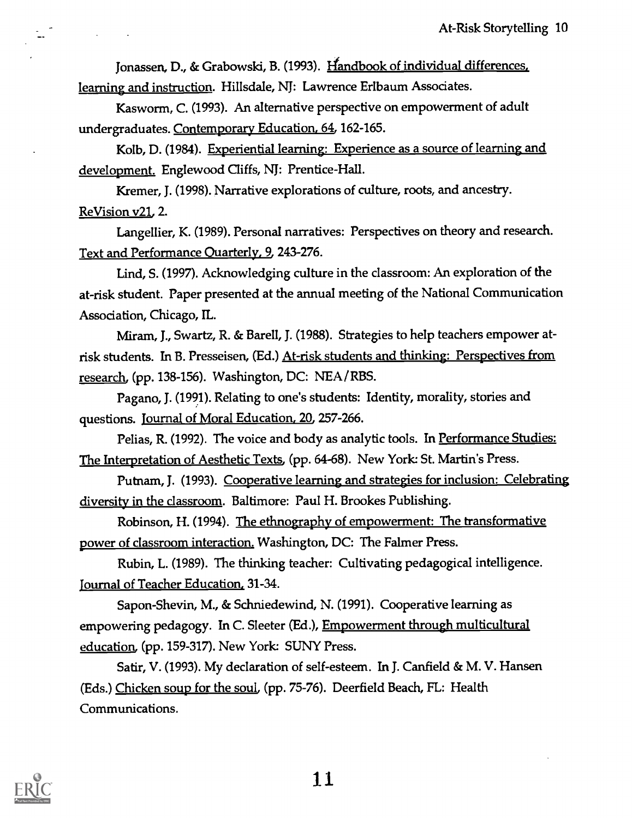Jonassen, D., & Grabowski, B. (1993). Handbook of individual differences, learning and instruction. Hillsdale, NJ: Lawrence Erlbaum Associates.

Kasworm, C. (1993). An alternative perspective on empowerment of adult undergraduates. Contemporary Education, 64, 162-165.

Kolb, D. (1984). Experiential learning: Experience as a source of learning and development. Englewood Cliffs, NJ: Prentice-Hall.

Kremer, J. (1998). Narrative explorations of culture, roots, and ancestry. ReVision v21, 2.

Langellier, K. (1989). Personal narratives: Perspectives on theory and research. Text and Performance Quarterly, 9, 243-276.

Lind, S. (1997). Acknowledging culture in the classroom: An exploration of the at-risk student. Paper presented at the annual meeting of the National Communication Association, Chicago, IL.

Miram, J., Swartz, R. & BarelI, J. (1988). Strategies to help teachers empower atrisk students. In B. Presseisen, (Ed.) At-risk students and thinking: Perspectives from research, (pp. 138-156). Washington, DC: NEA/RBS.

Pagano, J. (1991). Relating to one's students: Identity, morality, stories and questions. Journal of Moral Education, 20, 257-266.

Pelias, R. (1992). The voice and body as analytic tools. In Performance Studies: The Interpretation of Aesthetic Texts, (pp. 64-68). New York: St. Martin's Press.

Putnam, J. (1993). Cooperative learning and strategies for inclusion: Celebrating diversity in the classroom. Baltimore: Paul H. Brookes Publishing.

Robinson, H. (1994). The ethnography of empowerment: The transformative power of classroom interaction. Washington, DC: The Falmer Press.

Rubin, L. (1989). The thinking teacher: Cultivating pedagogical intelligence. Tournal of Teacher Education, 31-34.

Sapon-Shevin, M., & Schniedewind, N. (1991). Cooperative learning as empowering pedagogy. In C. Sleeter (Ed.), Empowerment through multicultural education, (pp. 159-317). New York: SUNY Press.

Satir, V. (1993). My declaration of self-esteem. In J. Canfield & M. V. Hansen (Eds.) Chicken soup for the soul, (pp. 75-76). Deerfield Beach, FL: Health Communications.



 $\frac{1}{2}$  .

 $\sim 10^{11}$  m  $^{-1}$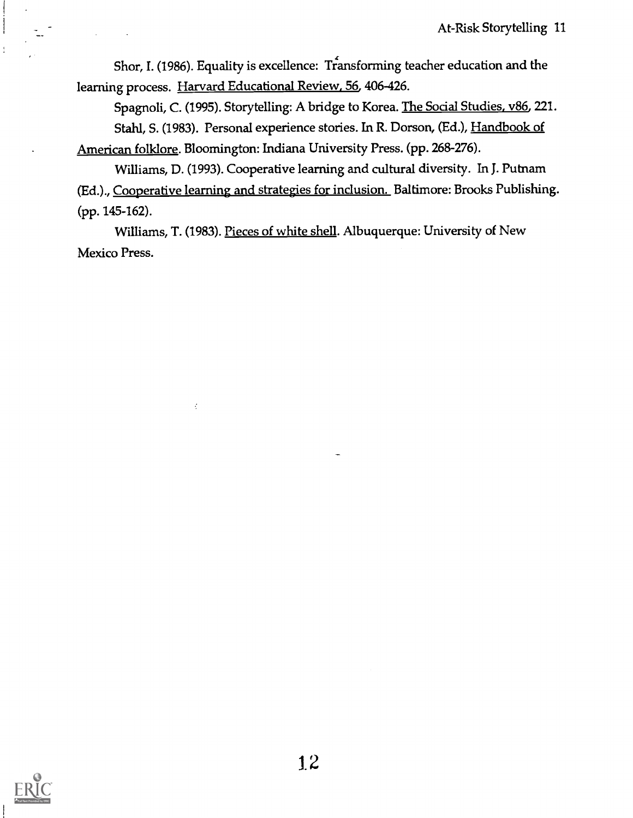Shor, I. (1986). Equality is excellence: Transforming teacher education and the learning process. Harvard Educational Review, 56, 406-426.

Spagnoli, C. (1995). Storytelling: A bridge to Korea. The Social Studies, v86, 221. Stahl, S. (1983). Personal experience stories. In R. Dorson, (Ed.), Handbook of American folklore. Bloomington: Indiana University Press. (pp. 268-276).

Williams, D. (1993). Cooperative learning and cultural diversity. In J. Putnam (Ed.)., Cooperative learning and strategies for inclusion. Baltimore: Brooks Publishing. (pp. 145-162).

Williams, T. (1983). Pieces of white shell. Albuquerque: University of New Mexico Press.

 $\vec{z}$ 

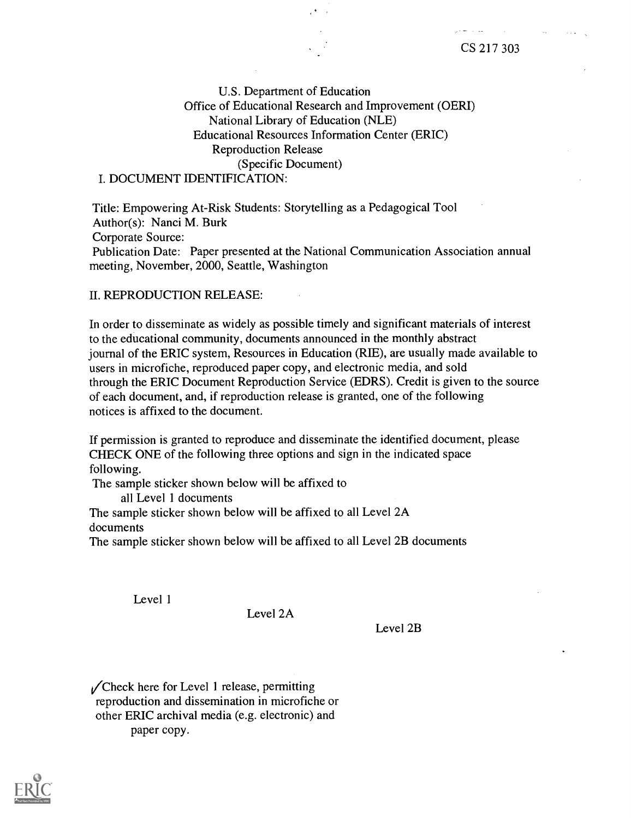U.S. Department of Education Office of Educational Research and Improvement (OERI) National Library of Education (NLE) Educational Resources Information Center (ERIC) Reproduction Release (Specific Document)

#### I. DOCUMENT IDENTIFICATION:

Title: Empowering At-Risk Students: Storytelling as a Pedagogical Tool Author(s): Nanci M. Burk Corporate Source: Publication Date: Paper presented at the National Communication Association annual meeting, November, 2000, Seattle, Washington

#### II. REPRODUCTION RELEASE:

In order to disseminate as widely as possible timely and significant materials of interest to the educational community, documents announced in the monthly abstract journal of the ERIC system, Resources in Education (RIE), are usually made available to users in microfiche, reproduced paper copy, and electronic media, and sold through the ERIC Document Reproduction Service (EDRS). Credit is given to the source of each document, and, if reproduction release is granted, one of the following notices is affixed to the document.

If permission is granted to reproduce and disseminate the identified document, please CHECK ONE of the following three options and sign in the indicated space following.

The sample sticker shown below will be affixed to

all Level 1 documents

The sample sticker shown below will be affixed to all Level 2A documents

The sample sticker shown below will be affixed to all Level 2B documents

Level 1

Level 2A

Level 2B

 $\sqrt{\text{Check}}$  here for Level 1 release, permitting reproduction and dissemination in microfiche or other ERIC archival media (e.g. electronic) and paper copy.